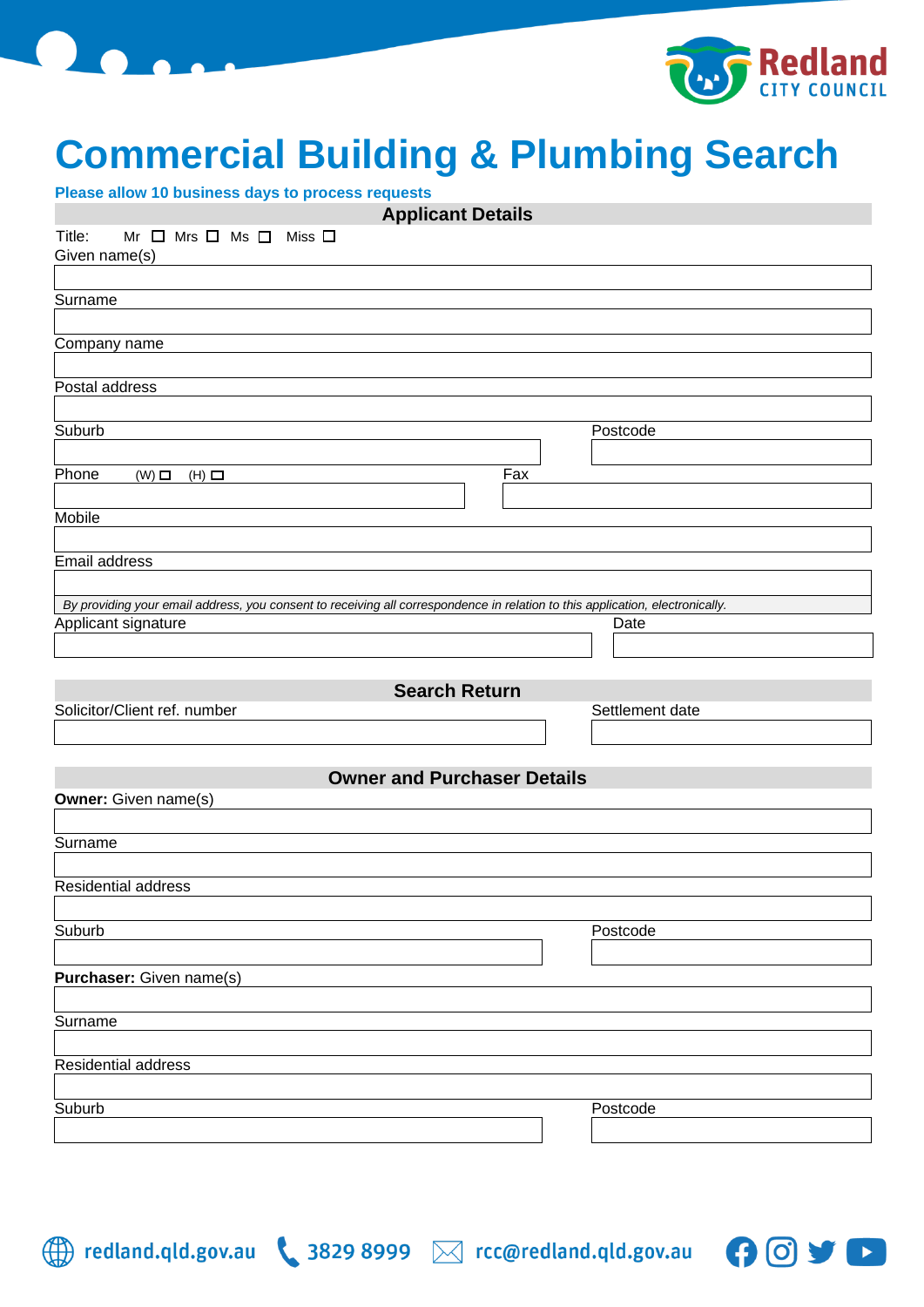

## **Commercial Building & Plumbing Search**

 $\bullet$   $\bullet$ 

| Please allow 10 business days to process requests                                                                             |                 |
|-------------------------------------------------------------------------------------------------------------------------------|-----------------|
| <b>Applicant Details</b>                                                                                                      |                 |
| Title:<br>$Mr \Box Mrs \Box Ms \Box Miss \Box$                                                                                |                 |
| Given name(s)                                                                                                                 |                 |
|                                                                                                                               |                 |
|                                                                                                                               |                 |
| Surname                                                                                                                       |                 |
|                                                                                                                               |                 |
| Company name                                                                                                                  |                 |
|                                                                                                                               |                 |
| Postal address                                                                                                                |                 |
|                                                                                                                               |                 |
| Suburb                                                                                                                        | Postcode        |
|                                                                                                                               |                 |
| Phone<br>Fax                                                                                                                  |                 |
| $(W)$ $\square$<br>$(H)$ $\Box$                                                                                               |                 |
|                                                                                                                               |                 |
| Mobile                                                                                                                        |                 |
|                                                                                                                               |                 |
| Email address                                                                                                                 |                 |
|                                                                                                                               |                 |
| By providing your email address, you consent to receiving all correspondence in relation to this application, electronically. |                 |
| Applicant signature                                                                                                           | Date            |
|                                                                                                                               |                 |
|                                                                                                                               |                 |
|                                                                                                                               |                 |
| <b>Search Return</b>                                                                                                          |                 |
| Solicitor/Client ref. number                                                                                                  | Settlement date |
|                                                                                                                               |                 |
|                                                                                                                               |                 |
| <b>Owner and Purchaser Details</b>                                                                                            |                 |
| <b>Owner:</b> Given name(s)                                                                                                   |                 |
|                                                                                                                               |                 |
| Surname                                                                                                                       |                 |
|                                                                                                                               |                 |
|                                                                                                                               |                 |
| Residential address                                                                                                           |                 |
|                                                                                                                               |                 |
| Suburb                                                                                                                        | Postcode        |
|                                                                                                                               |                 |
| <b>Purchaser:</b> Given name(s)                                                                                               |                 |
|                                                                                                                               |                 |
| Surname                                                                                                                       |                 |
|                                                                                                                               |                 |
|                                                                                                                               |                 |
| Residential address                                                                                                           |                 |
|                                                                                                                               |                 |
|                                                                                                                               |                 |
| Suburb                                                                                                                        | Postcode        |
|                                                                                                                               |                 |

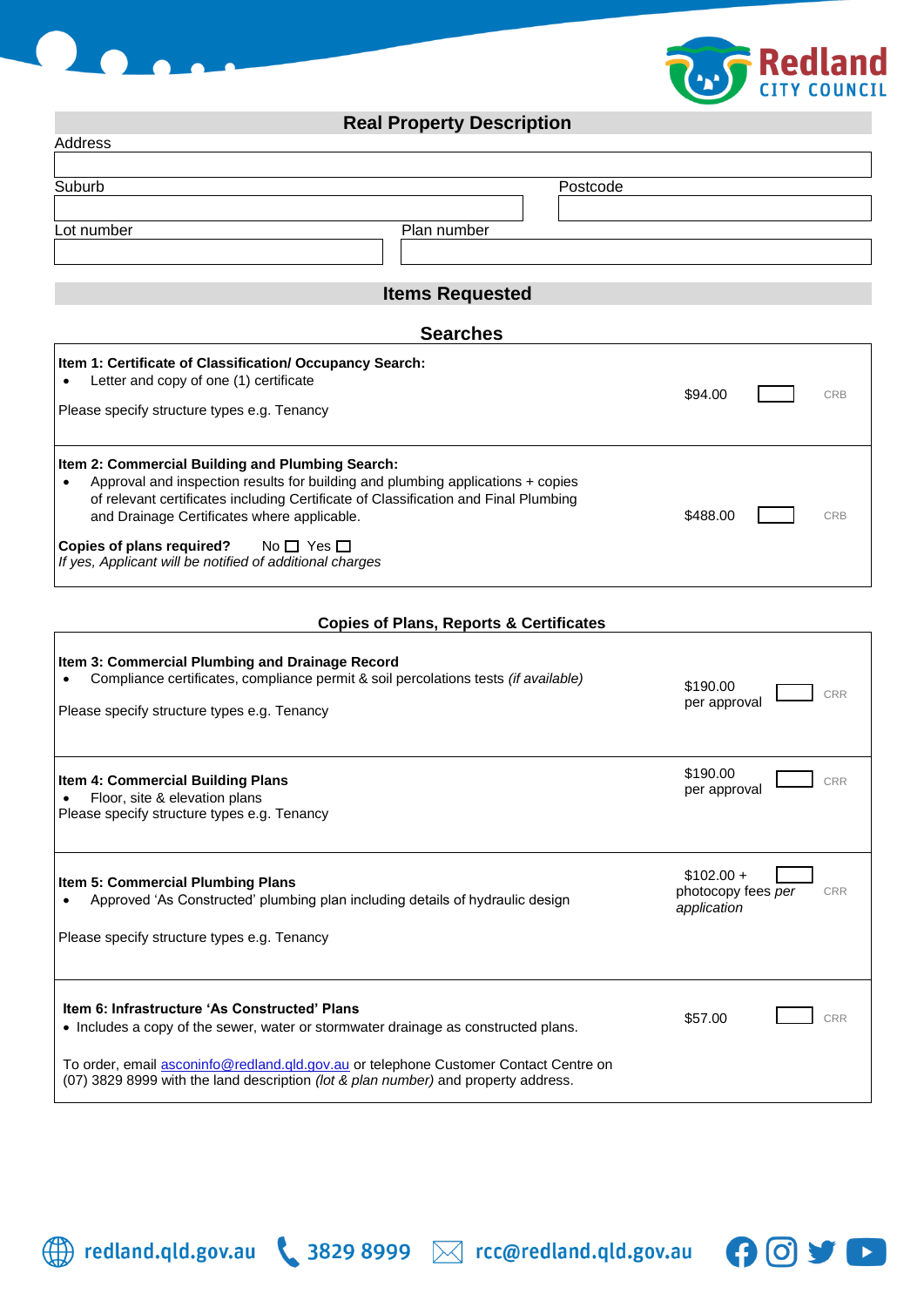



## **Real Property Description**

| Address                                                                                                                                                                                                                                                                                                                                                                                                       |          |     |
|---------------------------------------------------------------------------------------------------------------------------------------------------------------------------------------------------------------------------------------------------------------------------------------------------------------------------------------------------------------------------------------------------------------|----------|-----|
|                                                                                                                                                                                                                                                                                                                                                                                                               |          |     |
| Suburb<br>Postcode                                                                                                                                                                                                                                                                                                                                                                                            |          |     |
|                                                                                                                                                                                                                                                                                                                                                                                                               |          |     |
| Plan number<br>Lot number                                                                                                                                                                                                                                                                                                                                                                                     |          |     |
|                                                                                                                                                                                                                                                                                                                                                                                                               |          |     |
| <b>Items Requested</b>                                                                                                                                                                                                                                                                                                                                                                                        |          |     |
| <b>Searches</b>                                                                                                                                                                                                                                                                                                                                                                                               |          |     |
| Item 1: Certificate of Classification/ Occupancy Search:<br>Letter and copy of one (1) certificate<br>$\bullet$<br>Please specify structure types e.g. Tenancy                                                                                                                                                                                                                                                | \$94.00  | CRB |
| Item 2: Commercial Building and Plumbing Search:<br>Approval and inspection results for building and plumbing applications + copies<br>$\bullet$<br>of relevant certificates including Certificate of Classification and Final Plumbing<br>and Drainage Certificates where applicable.<br>Copies of plans required?<br>No $\square$ Yes $\square$<br>If yes, Applicant will be notified of additional charges | \$488.00 | CRB |

## **Copies of Plans, Reports & Certificates**

| Item 3: Commercial Plumbing and Drainage Record<br>Compliance certificates, compliance permit & soil percolations tests <i>(if available)</i><br>Please specify structure types e.g. Tenancy                                                                                                                      | \$190.00<br>per approval                                       |
|-------------------------------------------------------------------------------------------------------------------------------------------------------------------------------------------------------------------------------------------------------------------------------------------------------------------|----------------------------------------------------------------|
| Item 4: Commercial Building Plans<br>Floor, site & elevation plans<br>Please specify structure types e.g. Tenancy                                                                                                                                                                                                 | \$190.00<br>CRR<br>per approval                                |
| Item 5: Commercial Plumbing Plans<br>Approved 'As Constructed' plumbing plan including details of hydraulic design<br>Please specify structure types e.g. Tenancy                                                                                                                                                 | $$102.00 +$<br>photocopy fees per<br><b>CRR</b><br>application |
| Item 6: Infrastructure 'As Constructed' Plans<br>• Includes a copy of the sewer, water or stormwater drainage as constructed plans.<br>To order, email asconinfo@redland.gld.gov.au or telephone Customer Contact Centre on<br>(07) 3829 8999 with the land description (lot & plan number) and property address. | \$57.00                                                        |